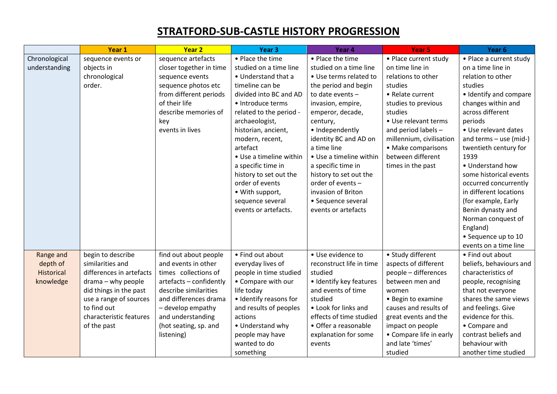## **STRATFORD-SUB-CASTLE HISTORY PROGRESSION**

|                   | Year 1                   | Year <sub>2</sub>       | Year <sub>3</sub>       | Year 4                   | Year <sub>5</sub>        | Year 6                   |
|-------------------|--------------------------|-------------------------|-------------------------|--------------------------|--------------------------|--------------------------|
| Chronological     | sequence events or       | sequence artefacts      | • Place the time        | • Place the time         | • Place current study    | • Place a current study  |
| understanding     | objects in               | closer together in time | studied on a time line  | studied on a time line   | on time line in          | on a time line in        |
|                   | chronological            | sequence events         | • Understand that a     | • Use terms related to   | relations to other       | relation to other        |
|                   | order.                   | sequence photos etc     | timeline can be         | the period and begin     | studies                  | studies                  |
|                   |                          | from different periods  | divided into BC and AD  | to date events -         | • Relate current         | • Identify and compare   |
|                   |                          | of their life           | · Introduce terms       | invasion, empire,        | studies to previous      | changes within and       |
|                   |                          | describe memories of    | related to the period - | emperor, decade,         | studies                  | across different         |
|                   |                          | key                     | archaeologist,          | century,                 | • Use relevant terms     | periods                  |
|                   |                          | events in lives         | historian, ancient,     | • Independently          | and period labels -      | • Use relevant dates     |
|                   |                          |                         | modern, recent,         | identity BC and AD on    | millennium, civilisation | and terms $-$ use (mid-) |
|                   |                          |                         | artefact                | a time line              | • Make comparisons       | twentieth century for    |
|                   |                          |                         | • Use a timeline within | • Use a timeline within  | between different        | 1939                     |
|                   |                          |                         | a specific time in      | a specific time in       | times in the past        | • Understand how         |
|                   |                          |                         | history to set out the  | history to set out the   |                          | some historical events   |
|                   |                          |                         | order of events         | order of events -        |                          | occurred concurrently    |
|                   |                          |                         | • With support,         | invasion of Briton       |                          | in different locations   |
|                   |                          |                         | sequence several        | • Sequence several       |                          | (for example, Early      |
|                   |                          |                         | events or artefacts.    | events or artefacts      |                          | Benin dynasty and        |
|                   |                          |                         |                         |                          |                          | Norman conquest of       |
|                   |                          |                         |                         |                          |                          | England)                 |
|                   |                          |                         |                         |                          |                          | • Sequence up to 10      |
|                   |                          |                         |                         |                          |                          | events on a time line    |
| Range and         | begin to describe        | find out about people   | • Find out about        | • Use evidence to        | • Study different        | • Find out about         |
| depth of          | similarities and         | and events in other     | everyday lives of       | reconstruct life in time | aspects of different     | beliefs, behaviours and  |
| <b>Historical</b> | differences in artefacts | times collections of    | people in time studied  | studied                  | people - differences     | characteristics of       |
| knowledge         | drama - why people       | artefacts - confidently | • Compare with our      | · Identify key features  | between men and          | people, recognising      |
|                   | did things in the past   | describe similarities   | life today              | and events of time       | women                    | that not everyone        |
|                   | use a range of sources   | and differences drama   | · Identify reasons for  | studied                  | • Begin to examine       | shares the same views    |
|                   | to find out              | - develop empathy       | and results of peoples  | • Look for links and     | causes and results of    | and feelings. Give       |
|                   | characteristic features  | and understanding       | actions                 | effects of time studied  | great events and the     | evidence for this.       |
|                   | of the past              | (hot seating, sp. and   | • Understand why        | • Offer a reasonable     | impact on people         | • Compare and            |
|                   |                          | listening)              | people may have         | explanation for some     | • Compare life in early  | contrast beliefs and     |
|                   |                          |                         | wanted to do            | events                   | and late 'times'         | behaviour with           |
|                   |                          |                         | something               |                          | studied                  | another time studied     |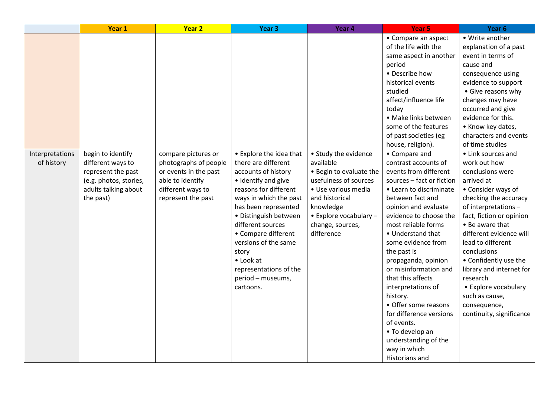|                               | Year 1                                                                                                                      | <b>Year 2</b>                                                                                                                        | Year <sub>3</sub>                                                                                                                                                                                                                                                                                                                                      | Year 4                                                                                                                                                                                                  | Year <sub>5</sub>                                                                                                                                                                                                                                                                                                                                                                                                                                                                                                                                                                                                                                                                                                                                                                     | Year <sub>6</sub>                                                                                                                                                                                                                                                                                                                                                                                                                                                                                                                                                                                                                                                                                |
|-------------------------------|-----------------------------------------------------------------------------------------------------------------------------|--------------------------------------------------------------------------------------------------------------------------------------|--------------------------------------------------------------------------------------------------------------------------------------------------------------------------------------------------------------------------------------------------------------------------------------------------------------------------------------------------------|---------------------------------------------------------------------------------------------------------------------------------------------------------------------------------------------------------|---------------------------------------------------------------------------------------------------------------------------------------------------------------------------------------------------------------------------------------------------------------------------------------------------------------------------------------------------------------------------------------------------------------------------------------------------------------------------------------------------------------------------------------------------------------------------------------------------------------------------------------------------------------------------------------------------------------------------------------------------------------------------------------|--------------------------------------------------------------------------------------------------------------------------------------------------------------------------------------------------------------------------------------------------------------------------------------------------------------------------------------------------------------------------------------------------------------------------------------------------------------------------------------------------------------------------------------------------------------------------------------------------------------------------------------------------------------------------------------------------|
| Interpretations<br>of history | begin to identify<br>different ways to<br>represent the past<br>(e.g. photos, stories,<br>adults talking about<br>the past) | compare pictures or<br>photographs of people<br>or events in the past<br>able to identify<br>different ways to<br>represent the past | • Explore the idea that<br>there are different<br>accounts of history<br>• Identify and give<br>reasons for different<br>ways in which the past<br>has been represented<br>· Distinguish between<br>different sources<br>• Compare different<br>versions of the same<br>story<br>• Look at<br>representations of the<br>period - museums,<br>cartoons. | • Study the evidence<br>available<br>• Begin to evaluate the<br>usefulness of sources<br>· Use various media<br>and historical<br>knowledge<br>• Explore vocabulary -<br>change, sources,<br>difference | • Compare an aspect<br>of the life with the<br>same aspect in another<br>period<br>• Describe how<br>historical events<br>studied<br>affect/influence life<br>today<br>· Make links between<br>some of the features<br>of past societies (eg<br>house, religion).<br>• Compare and<br>contrast accounts of<br>events from different<br>sources - fact or fiction<br>• Learn to discriminate<br>between fact and<br>opinion and evaluate<br>evidence to choose the<br>most reliable forms<br>• Understand that<br>some evidence from<br>the past is<br>propaganda, opinion<br>or misinformation and<br>that this affects<br>interpretations of<br>history.<br>• Offer some reasons<br>for difference versions<br>of events.<br>• To develop an<br>understanding of the<br>way in which | • Write another<br>explanation of a past<br>event in terms of<br>cause and<br>consequence using<br>evidence to support<br>• Give reasons why<br>changes may have<br>occurred and give<br>evidence for this.<br>• Know key dates,<br>characters and events<br>of time studies<br>• Link sources and<br>work out how<br>conclusions were<br>arrived at<br>• Consider ways of<br>checking the accuracy<br>of interpretations -<br>fact, fiction or opinion<br>• Be aware that<br>different evidence will<br>lead to different<br>conclusions<br>• Confidently use the<br>library and internet for<br>research<br>• Explore vocabulary<br>such as cause,<br>consequence,<br>continuity, significance |
|                               |                                                                                                                             |                                                                                                                                      |                                                                                                                                                                                                                                                                                                                                                        |                                                                                                                                                                                                         | Historians and                                                                                                                                                                                                                                                                                                                                                                                                                                                                                                                                                                                                                                                                                                                                                                        |                                                                                                                                                                                                                                                                                                                                                                                                                                                                                                                                                                                                                                                                                                  |